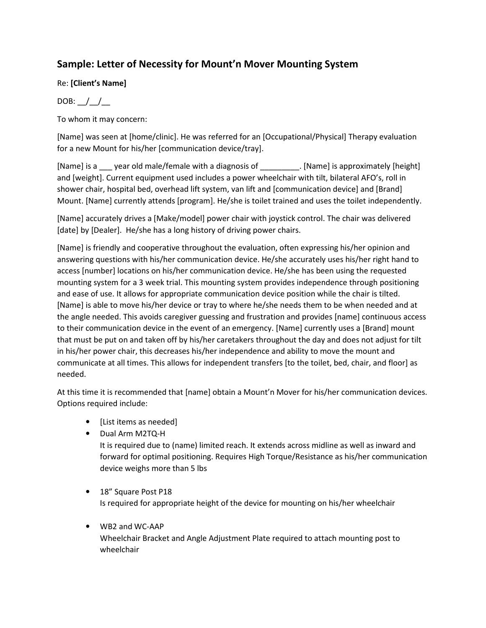## **Sample: Letter of Necessity for Mount'n Mover Mounting System**

## Re: **[Client's Name]**

## DOB:  $\frac{1}{\sqrt{2}}$

To whom it may concern:

[Name] was seen at [home/clinic]. He was referred for an [Occupational/Physical] Therapy evaluation for a new Mount for his/her [communication device/tray].

[Name] is a zear old male/female with a diagnosis of [Name] is approximately [height] and [weight]. Current equipment used includes a power wheelchair with tilt, bilateral AFO's, roll in shower chair, hospital bed, overhead lift system, van lift and [communication device] and [Brand] Mount. [Name] currently attends [program]. He/she is toilet trained and uses the toilet independently.

[Name] accurately drives a [Make/model] power chair with joystick control. The chair was delivered [date] by [Dealer]. He/she has a long history of driving power chairs.

[Name] is friendly and cooperative throughout the evaluation, often expressing his/her opinion and answering questions with his/her communication device. He/she accurately uses his/her right hand to access [number] locations on his/her communication device. He/she has been using the requested mounting system for a 3 week trial. This mounting system provides independence through positioning and ease of use. It allows for appropriate communication device position while the chair is tilted. [Name] is able to move his/her device or tray to where he/she needs them to be when needed and at the angle needed. This avoids caregiver guessing and frustration and provides [name] continuous access to their communication device in the event of an emergency. [Name] currently uses a [Brand] mount that must be put on and taken off by his/her caretakers throughout the day and does not adjust for tilt in his/her power chair, this decreases his/her independence and ability to move the mount and communicate at all times. This allows for independent transfers [to the toilet, bed, chair, and floor] as needed.

At this time it is recommended that [name] obtain a Mount'n Mover for his/her communication devices. Options required include:

- [List items as needed]
- Dual Arm M2TQ-H

It is required due to (name) limited reach. It extends across midline as well as inward and forward for optimal positioning. Requires High Torque/Resistance as his/her communication device weighs more than 5 lbs

- 18" Square Post P18 Is required for appropriate height of the device for mounting on his/her wheelchair
- WB2 and WC-AAP Wheelchair Bracket and Angle Adjustment Plate required to attach mounting post to wheelchair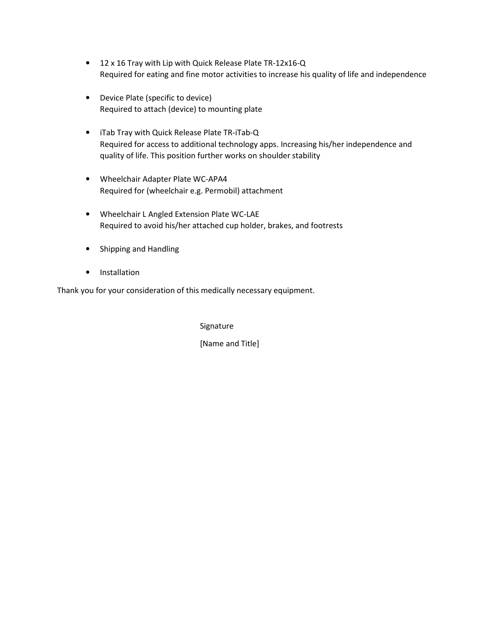- 12 x 16 Tray with Lip with Quick Release Plate TR-12x16-Q Required for eating and fine motor activities to increase his quality of life and independence
- Device Plate (specific to device) Required to attach (device) to mounting plate
- iTab Tray with Quick Release Plate TR-iTab-Q Required for access to additional technology apps. Increasing his/her independence and quality of life. This position further works on shoulder stability
- Wheelchair Adapter Plate WC-APA4 Required for (wheelchair e.g. Permobil) attachment
- Wheelchair L Angled Extension Plate WC-LAE Required to avoid his/her attached cup holder, brakes, and footrests
- Shipping and Handling
- Installation

Thank you for your consideration of this medically necessary equipment.

Signature

[Name and Title]